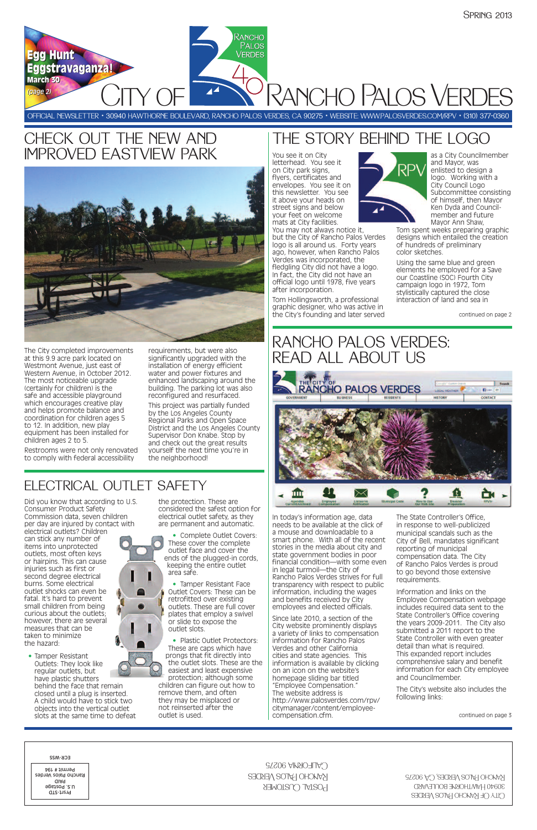PANCHO PALOS VERE

OFFICIAL NEWSLETTER • 30940 HAWTHORNE BOULEVARD, RANCHO PALOS VERDES, CA 90275 • WEBSITE: WWW.PALOSVERDES.COM/RPV • (310) 377-0360

Rancho **PALOS VERDES** 

**Egg Hunt Egg Hunt**

**Eggstravaganza! Eggstravaganza!**



# IMPROVED EASTVIEW PARK

The City completed improvements at this 9.9 acre park located on Westmont Avenue, just east of Western Avenue, in October 2012. The most noticeable upgrade (certainly for children) is the safe and accessible playground which encourages creative play and helps promote balance and coordination for children ages 5 to 12. In addition, new play equipment has been installed for children ages 2 to 5.

Restrooms were not only renovated to comply with federal accessibility

requirements, but were also significantly upgraded with the installation of energy efficient water and power fixtures and enhanced landscaping around the building. The parking lot was also reconfigured and resurfaced.

This project was partially funded by the Los Angeles County Regional Parks and Open Space District and the Los Angeles County Supervisor Don Knabe. Stop by and check out the great results yourself the next time you're in the neighborhood!

You see it on City letterhead. You see it on City park signs, flyers, certificates and envelopes. You see it on this newsletter. You see it above your heads on street signs and below your feet on welcome mats at City facilities. You may not always notice it,

but the City of Rancho Palos Verdes logo is all around us. Forty years ago, however, when Rancho Palos Verdes was incorporated, the fledgling City did not have a logo. In fact, the City did not have an official logo until 1978, five years after incorporation.

Tom Hollingsworth, a professional graphic designer, who was active in the City's founding and later served



as a City Councilmember and Mayor, was enlisted to design a logo. Working with a City Council Logo Subcommittee consisting of himself, then Mayor Ken Dyda and Councilmember and future Mayor Ann Shaw,

**March 30 March 30** *(page 2) 2)*

> Tom spent weeks preparing graphic designs which entailed the creation of hundreds of preliminary color sketches.

Using the same blue and green elements he employed for a Save our Coastline (SOC) Fourth City campaign logo in 1972, Tom stylistically captured the close interaction of land and sea in

### RANCHO PALOS VERDES: READ ALL ABOUT US



• Plastic Outlet Protectors: These are caps which have prongs that fit directly into the outlet slots. These are the easiest and least expensive protection; although some

In today's information age, data needs to be available at the click of a mouse and downloadable to a smart phone. With all of the recent stories in the media about city and state government bodies in poor financial condition—with some even in legal turmoil—the City of Rancho Palos Verdes strives for full transparency with respect to public information, including the wages and benefits received by City employees and elected officials.

Since late 2010, a section of the City website prominently displays a variety of links to compensation information for Rancho Palos Verdes and other California cities and state agencies. This information is available by clicking on an icon on the website's homepage sliding bar titled "Employee Compensation." The website address is http://www.palosverdes.com/rpv/ citymanager/content/employeecompensation.cfm.

The State Controller's Office, in response to well-publicized municipal scandals such as the City of Bell, mandates significant reporting of municipal compensation data. The City of Rancho Palos Verdes is proud to go beyond those extensive requirements.

Information and links on the Employee Compensation webpage includes required data sent to the State Controller's Office covering the years 2009-2011. The City also submitted a 2011 report to the State Controller with even greater detail than what is required. This expanded report includes comprehensive salary and benefit information for each City employee and Councilmember.

The City's website also includes the following links:

continued on page 2

continued on page 3

| ECK-M22<br>$C$ ALIFORNIA 90275<br><b>Permit # 194</b><br>KANCHO HALOS VERDES<br>Rancho Palos Verdes<br>aiaq<br><b>POSTAL CUSTOMER</b><br>u.s. Postage<br>Prsrt-STD | RANCHO PALOS VERDES, CA 90275<br>30940 HAWTHORNE BOULEVARD<br>CILA OF KANCHO PALOS VERDES |
|--------------------------------------------------------------------------------------------------------------------------------------------------------------------|-------------------------------------------------------------------------------------------|
|--------------------------------------------------------------------------------------------------------------------------------------------------------------------|-------------------------------------------------------------------------------------------|

### ELECTRICAL OUTLET SAFETY

Did you know that according to U.S. Consumer Product Safety Commission data, seven children per day are injured by contact with electrical outlets? Children can stick any number of items into unprotected outlets, most often keys or hairpins. This can cause injuries such as first or second degree electrical burns. Some electrical



outlet shocks can even be fatal. It's hard to prevent small children from being

curious about the outlets; however, there are several measures that can be taken to minimize the hazard:

• Tamper Resistant Outlets: They look like regular outlets, but have plastic shutters behind the face that remain closed until a plug is inserted. A child would have to stick two objects into the vertical outlet slots at the same time to defeat

the protection. These are considered the safest option for electrical outlet safety, as they are permanent and automatic.

• Complete Outlet Covers: These cover the complete outlet face and cover the ends of the plugged-in cords, keeping the entire outlet area safe.

• Tamper Resistant Face Outlet Covers: These can be retrofitted over existing outlets. These are full cover plates that employ a swivel or slide to expose the outlet slots.

### CHECK OUT THE NEW AND **THE STORY BEHIND THE LOGO**

children can figure out how to remove them, and often they may be misplaced or not reinserted after the outlet is used.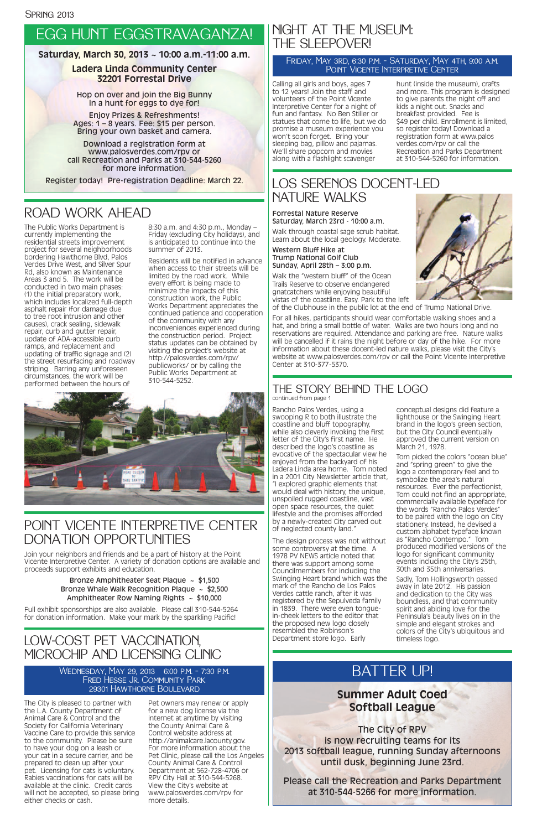### EGG HUNT EGGSTRAVAGANZA!

#### **Saturday, March 30, 2013 ~ 10:00 a.m.-11:00 a.m.**

#### **Ladera Linda Community Center 32201 Forrestal Drive**

Hop on over and join the Big Bunny in a hunt for eggs to dye for!

Enjoy Prizes & Refreshments! Ages: 1 – 8 years. Fee: \$15 per person. Bring your own basket and camera.

Download a registration form at www.palosverdes.com/rpv or call Recreation and Parks at 310-544-5260 for more information.

Register today! Pre-registration Deadline: March 22.

#### LOW-COST PET VACCINATION, MICROCHIP AND LICENSING CLINIC

The City is pleased to partner with the L.A. County Department of Animal Care & Control and the Society for California Veterinary Vaccine Care to provide this service to the community. Please be sure to have your dog on a leash or your cat in a secure carrier, and be prepared to clean up after your pet. Licensing for cats is voluntary. Rabies vaccinations for cats will be available at the clinic. Credit cards will not be accepted, so please bring either checks or cash.

Pet owners may renew or apply for a new dog license via the internet at anytime by visiting the County Animal Care & Control website address at http://animalcare.lacounty.gov. For more information about the Pet Clinic, please call the Los Angeles County Animal Care & Control Department at 562-728-4706 or RPV City Hall at 310-544-5268. View the City's website at www.palosverdes.com/rpv for more details.

Wednesday, May 29, 2013 6:00 p.m. – 7:30 p.m. FRED HESSE JR. COMMUNITY PARK 29301 Hawthorne Boulevard

The Public Works Department is currently implementing the residential streets improvement project for several neighborhoods bordering Hawthorne Blvd, Palos Verdes Drive West, and Silver Spur Rd, also known as Maintenance Areas 3 and 5. The work will be conducted in two main phases: (1) the initial preparatory work, which includes localized full-depth asphalt repair (for damage due to tree root intrusion and other causes), crack sealing, sidewalk repair, curb and gutter repair, update of ADA-accessible curb ramps, and replacement and updating of traffic signage and (2) the street resurfacing and roadway striping. Barring any unforeseen circumstances, the work will be performed between the hours of

8:30 a.m. and 4:30 p.m., Monday – Friday (excluding City holidays), and is anticipated to continue into the summer of 2013.

#### Friday, May 3rd, 6:30 p.m. – Saturday, May 4th, 9:00 a.m. POINT VICENTE INTERPRETIVE CENTER

Bronze Amphitheater Seat Plaque ~ \$1,500 Bronze Whale Walk Recognition Plaque ~ \$2,500 Amphitheater Row Naming Rights  $\sim$  \$10,000

Residents will be notified in advance when access to their streets will be limited by the road work. While every effort is being made to minimize the impacts of this construction work, the Public Works Department appreciates the continued patience and cooperation of the community with any inconveniences experienced during the construction period. Project status updates can be obtained by visiting the project's website at http://palosverdes.com/rpv/ publicworks/ or by calling the Public Works Department at 310-544-5252.



### ROAD WORK AHEAD

### BATTER UP!

#### **Summer Adult Coed Softball League**

The City of RPV is now recruiting teams for its 2013 softball league, running Sunday afternoons until dusk, beginning June 23rd.

Please call the Recreation and Parks Department at 310-544-5266 for more information.

Forrestal Nature Reserve Saturday, March 23rd - 10:00 a.m.

Walk through coastal sage scrub habitat. Learn about the local geology. Moderate.

Western Bluff Hike at Trump National Golf Club Sunday, April 28th – 3:00 p.m.

Walk the "western bluff" of the Ocean Trails Reserve to observe endangered gnatcatchers while enjoying beautiful vistas of the coastline. Easy. Park to the left



of the Clubhouse in the public lot at the end of Trump National Drive.

For all hikes, participants should wear comfortable walking shoes and a hat, and bring a small bottle of water. Walks are two hours long and no reservations are required. Attendance and parking are free. Nature walks will be cancelled if it rains the night before or day of the hike. For more information about these docent-led nature walks, please visit the City's website at www.palosverdes.com/rpv or call the Point Vicente Interpretive Center at 310-377-5370.

### NIGHT AT THE MUSEUM: THE SLEEPOVER!

Calling all girls and boys, ages 7 to 12 years! Join the staff and volunteers of the Point Vicente Interpretive Center for a night of fun and fantasy. No Ben Stiller or statues that come to life, but we do promise a museum experience you won't soon forget. Bring your sleeping bag, pillow and pajamas. We'll share popcorn and movies along with a flashlight scavenger

hunt (inside the museum), crafts and more. This program is designed to give parents the night off and kids a night out. Snacks and breakfast provided. Fee is \$49 per child. Enrollment is limited, so register today! Download a registration form at www.palos verdes.com/rpv or call the Recreation and Parks Department at 310-544-5260 for information.

### POINT VICENTE INTERPRETIVE CENTER DONATION OPPORTUNITIES

Join your neighbors and friends and be a part of history at the Point Vicente Interpretive Center. A variety of donation options are available and proceeds support exhibits and education.

Full exhibit sponsorships are also available. Please call 310-544-5264

for donation information. Make your mark by the sparkling Pacific!

#### THE STORY BEHIND THE LOGO continued from page 1

Rancho Palos Verdes, using a swooping R to both illustrate the coastline and bluff topography, while also cleverly invoking the first letter of the City's first name. He described the logo's coastline as evocative of the spectacular view he enjoyed from the backyard of his Ladera Linda area home. Tom noted in a 2001 City Newsletter article that, "I explored graphic elements that would deal with history, the unique, unspoiled rugged coastline, vast open space resources, the quiet lifestyle and the promises afforded by a newly-created City carved out of neglected county land."

The design process was not without some controversy at the time. A 1978 PV NEWS article noted that there was support among some Councilmembers for including the Swinging Heart brand which was the mark of the Rancho de Los Palos Verdes cattle ranch, after it was registered by the Sepulveda family in 1839. There were even tonguein-cheek letters to the editor that the proposed new logo closely resembled the Robinson's Department store logo. Early

conceptual designs did feature a lighthouse or the Swinging Heart brand in the logo's green section, but the City Council eventually approved the current version on March 21, 1978.

Tom picked the colors "ocean blue" and "spring green" to give the logo a contemporary feel and to symbolize the area's natural resources. Ever the perfectionist, Tom could not find an appropriate, commercially available typeface for the words "Rancho Palos Verdes" to be paired with the logo on City stationery. Instead, he devised a custom alphabet typeface known as "Rancho Contempo." Tom produced modified versions of the logo for significant community events including the City's 25th, 30th and 35th anniversaries.

Sadly, Tom Hollingsworth passed away in late 2012. His passion and dedication to the City was boundless, and that community spirit and abiding love for the Peninsula's beauty lives on in the simple and elegant strokes and colors of the City's ubiquitous and timeless logo.

#### LOS SERENOS DOCENT-LED NATURE WALKS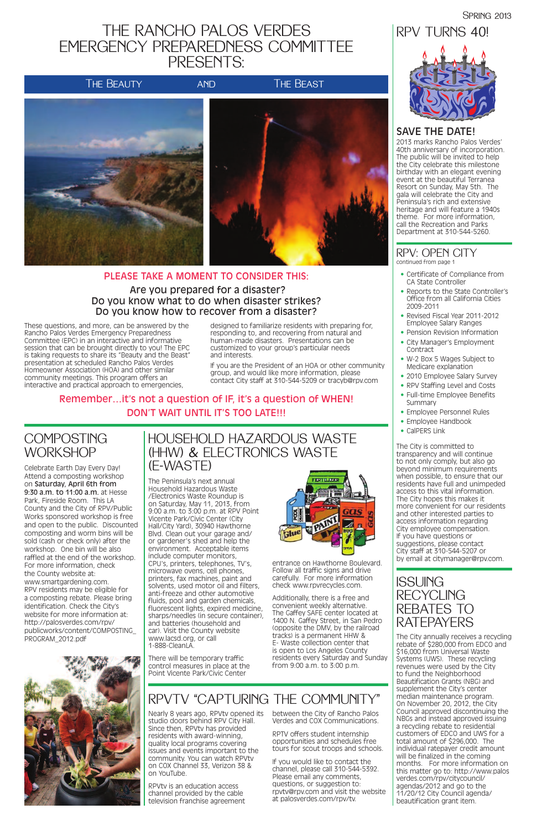### THE RANCHO PALOS VERDES EMERGENCY PREPAREDNESS COMMITTEE PRESENTS:







These questions, and more, can be answered by the Rancho Palos Verdes Emergency Preparedness Committee (EPC) in an interactive and informative session that can be brought directly to you! The EPC is taking requests to share its "Beauty and the Beast" presentation at scheduled Rancho Palos Verdes Homeowner Association (HOA) and other similar community meetings. This program offers an interactive and practical approach to emergencies,

designed to familiarize residents with preparing for, responding to, and recovering from natural and human-made disasters. Presentations can be customized to your group's particular needs and interests.

If you are the President of an HOA or other community group, and would like more information, please contact City staff at 310-544-5209 or tracyb@rpv.com

#### PLEASE TAKE A MOMENT TO CONSIDER THIS: Are you prepared for a disaster? Do you know what to do when disaster strikes? Do you know how to recover from a disaster?

#### Remember…it's not a question of IF, it's a question of WHEN! DON'T WAIT UNTIL IT'S TOO LATE!!!

#### **COMPOSTING WORKSHOP**

**SPRING 2013** 

### RPV TURNS 40!

#### SAVE THE DATE!

2013 marks Rancho Palos Verdes' 40th anniversary of incorporation. The public will be invited to help the City celebrate this milestone birthday with an elegant evening event at the beautiful Terranea Resort on Sunday, May 5th. The gala will celebrate the City and Peninsula's rich and extensive heritage and will feature a 1940s theme. For more information, call the Recreation and Parks Department at 310-544-5260.

Additionally, there is a free and convenient weekly alternative. The Gaffey SAFE center located at 1400 N. Gaffey Street, in San Pedro (opposite the DMV, by the railroad tracks) is a permanent HHW & E- Waste collection center that is open to Los Angeles County residents every Saturday and Sunday from  $9:00$  a.m. to  $3:00$  p.m.



The City is committed to transparency and will continue to not only comply, but also go beyond minimum requirements when possible, to ensure that our residents have full and unimpeded access to this vital information. The City hopes this makes it more convenient for our residents and other interested parties to access information regarding City employee compensation. If you have questions or suggestions, please contact City staff at 310-544-5207 or by email at citymanager@rpv.com.

- continued from page 1
- Certificate of Compliance from CA State Controller
- Reports to the State Controller's Office from all California Cities 2009-2011
- Revised Fiscal Year 2011-2012 Employee Salary Ranges
- Pension Revision Information
- City Manager's Employment Contract
- W-2 Box 5 Wages Subject to Medicare explanation
- 2010 Employee Salary Survey
- RPV Staffing Level and Costs
- Full-time Employee Benefits Summary
- Employee Personnel Rules
- Employee Handbook
- CalPERS Link

#### RPV: OPEN CITY

The Peninsula's next annual Household Hazardous Waste /Electronics Waste Roundup is on Saturday, May 11, 2013, from 9:00 a.m. to 3:00 p.m. at RPV Point Vicente Park/Civic Center (City Hall/City Yard), 30940 Hawthorne Blvd. Clean out your garage and/ or gardener's shed and help the environment. Acceptable items include computer monitors, CPU's, printers, telephones, TV's, microwave ovens, cell phones, printers, fax machines, paint and solvents, used motor oil and filters, anti-freeze and other automotive fluids, pool and garden chemicals, fluorescent lights, expired medicine sharps/needles (in secure container), and batteries (household and car). Visit the County website www.lacsd.org, or call 1-888-CleanLA.



There will be temporary traffic control measures in place at the Point Vicente Park/Civic Center

## **RATEPAYERS**

entrance on Hawthorne Boulevard. Follow all traffic signs and drive carefully. For more information check www.rpvrecycles.com.

ISSUING RECYCLING REBATES TO



The City annually receives a recycling rebate of \$280,000 from EDCO and \$16,000 from Universal Waste Systems (UWS). These recycling revenues were used by the City to fund the Neighborhood Beautification Grants (NBG) and supplement the City's center median maintenance program. On November 20, 2012, the City Council approved discontinuing the NBGs and instead approved issuing a recycling rebate to residential customers of EDCO and UWS for a total amount of \$296,000. The individual ratepayer credit amount will be finalized in the coming months. For more information on this matter go to: http://www.palos verdes.com/rpv/citycouncil/ agendas/2012 and go to the 11/20/12 City Council agenda/ beautification grant item.

Celebrate Earth Day Every Day! Attend a composting workshop on Saturday, April 6th from 9:30 a.m. to 11:00 a.m. at Hesse Park, Fireside Room. This LA County and the City of RPV/Public Works sponsored workshop is free and open to the public. Discounted composting and worm bins will be sold (cash or check only) after the workshop. One bin will be also raffled at the end of the workshop. For more information, check the County website at: www.smartgardening.com. RPV residents may be eligible for a composting rebate. Please bring identification. Check the City's website for more information at: http://palosverdes.com/rpv/ publicworks/content/COMPOSTING\_ PROGRAM\_2012.pdf

### RPVTV "CAPTURING THE COMMUNITY"

Nearly 8 years ago, RPVtv opened its studio doors behind RPV City Hall. Since then, RPVtv has provided residents with award-winning, quality local programs covering issues and events important to the community. You can watch RPVtv on COX Channel 33, Verizon 38 & on YouTube.

RPVtv is an education access channel provided by the cable television franchise agreement between the City of Rancho Palos Verdes and COX Communications.

RPTV offers student internship opportunities and schedules free tours for scout troops and schools.

If you would like to contact the channel, please call 310-544-5392. Please email any comments, questions, or suggestion to: rpvtv@rpv.com and visit the website at palosverdes.com/rpv/tv.

#### HOUSEHOLD HAZARDOUS WASTE (HHW) & ELECTRONICS WASTE (E-WASTE)